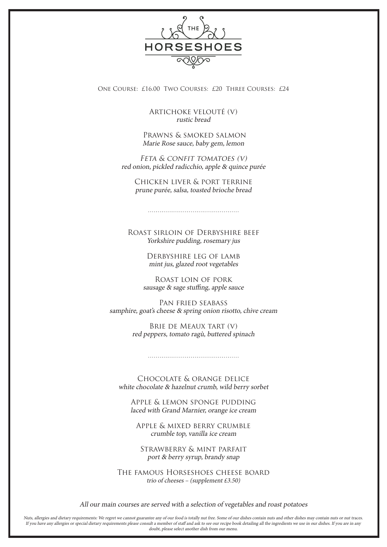

One Course: £16.00 Two Courses: £20 Three Courses: £24

Artichoke veloutÉ (v) rustic bread

 Prawns & smoked salmon Marie Rose sauce, baby gem, lemon

FETA & CONFIT TOMATOES (V) red onion, pickled radicchio, apple & quince purée

Chicken liver & port terrine prune purée, salsa, toasted brioche bread

Roast sirloin of Derbyshire beef

Yorkshire pudding, rosemary jus

Derbyshire leg of lamb mint jus, glazed root vegetables

Roast loin of pork sausage & sage stuffing, apple sauce

Pan fried seabass samphire, goat's cheese & spring onion risotto, chive cream

> Brie de Meaux tart (v) red peppers, tomato ragù, buttered spinach

Chocolate & orange delice white chocolate & hazelnut crumb, wild berry sorbet

Apple & lemon sponge pudding laced with Grand Marnier, orange ice cream

Apple & mixed berry crumble crumble top, vanilla ice cream

Strawberry & mint parfait port & berry syrup, brandy snap

The famous Horseshoes cheese board trio of cheeses – (supplement £3.50)

All our main courses are served with a selection of vegetables and roast potatoes

Nuts, allergies and dietary requirements: We regret we cannot guarantee any of our food is totally nut free. Some of our dishes contain nuts and other dishes may contain nuts or nut traces. If you have any allergies or special dietary requirements please consult a member of staff and ask to see our recipe book detailing all the ingredients we use in our dishes. If you are in any doubt, please select another dish from our menu.